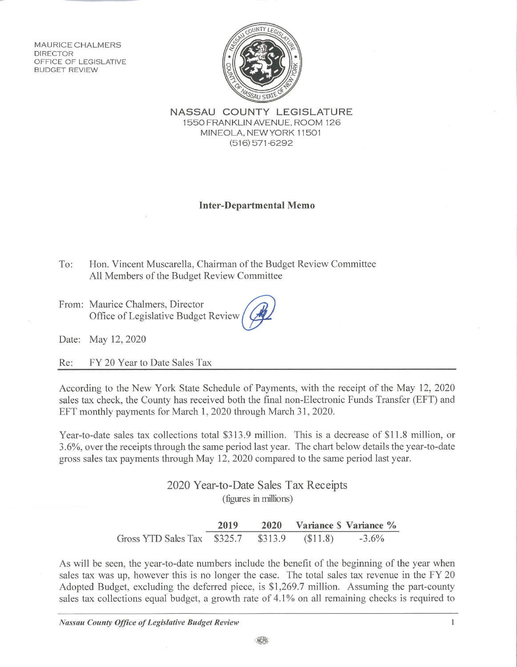**MAURICE CHALMERS DIRECTOR** OFFICE OF LEGISLATIVE **BUDGET REVIEW** 



NASSAU COUNTY LEGISLATURE 1550 FRANKLIN AVENUE, ROOM 126 MINEOLA, NEW YORK 11501  $(516)$  571-6292

## **Inter-Departmental Memo**

 $To:$ Hon. Vincent Muscarella, Chairman of the Budget Review Committee All Members of the Budget Review Committee

From: Maurice Chalmers, Director Office of Legislative Budget Review

Date: May 12, 2020

Re: FY 20 Year to Date Sales Tax

According to the New York State Schedule of Payments, with the receipt of the May 12, 2020 sales tax check, the County has received both the final non-Electronic Funds Transfer (EFT) and EFT monthly payments for March 1, 2020 through March 31, 2020.

Year-to-date sales tax collections total \$313.9 million. This is a decrease of \$11.8 million, or 3.6%, over the receipts through the same period last year. The chart below details the year-to-date gross sales tax payments through May 12, 2020 compared to the same period last year.

> 2020 Year-to-Date Sales Tax Receipts (figures in millions)

2019 Variance \$ Variance % 2020 **Gross YTD Sales Tax** \$325.7 \$313.9  $$11.8)$  $-3.6%$ 

As will be seen, the year-to-date numbers include the benefit of the beginning of the year when sales tax was up, however this is no longer the case. The total sales tax revenue in the FY 20 Adopted Budget, excluding the deferred piece, is \$1,269.7 million. Assuming the part-county sales tax collections equal budget, a growth rate of 4.1% on all remaining checks is required to

 $\mathbf{1}$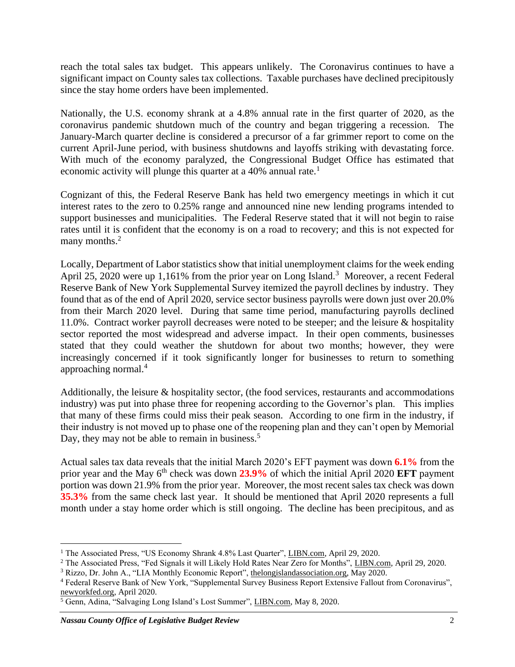reach the total sales tax budget. This appears unlikely. The Coronavirus continues to have a significant impact on County sales tax collections. Taxable purchases have declined precipitously since the stay home orders have been implemented.

Nationally, the U.S. economy shrank at a 4.8% annual rate in the first quarter of 2020, as the coronavirus pandemic shutdown much of the country and began triggering a recession. The January-March quarter decline is considered a precursor of a far grimmer report to come on the current April-June period, with business shutdowns and layoffs striking with devastating force. With much of the economy paralyzed, the Congressional Budget Office has estimated that economic activity will plunge this quarter at a  $40\%$  annual rate.<sup>1</sup>

Cognizant of this, the Federal Reserve Bank has held two emergency meetings in which it cut interest rates to the zero to 0.25% range and announced nine new lending programs intended to support businesses and municipalities. The Federal Reserve stated that it will not begin to raise rates until it is confident that the economy is on a road to recovery; and this is not expected for many months.<sup>2</sup>

Locally, Department of Labor statistics show that initial unemployment claims for the week ending April 25, 2020 were up 1,161% from the prior year on Long Island.<sup>3</sup> Moreover, a recent Federal Reserve Bank of New York Supplemental Survey itemized the payroll declines by industry. They found that as of the end of April 2020, service sector business payrolls were down just over 20.0% from their March 2020 level. During that same time period, manufacturing payrolls declined 11.0%. Contract worker payroll decreases were noted to be steeper; and the leisure & hospitality sector reported the most widespread and adverse impact. In their open comments, businesses stated that they could weather the shutdown for about two months; however, they were increasingly concerned if it took significantly longer for businesses to return to something approaching normal.<sup>4</sup>

Additionally, the leisure & hospitality sector, (the food services, restaurants and accommodations industry) was put into phase three for reopening according to the Governor's plan. This implies that many of these firms could miss their peak season. According to one firm in the industry, if their industry is not moved up to phase one of the reopening plan and they can't open by Memorial Day, they may not be able to remain in business. $<sup>5</sup>$ </sup>

Actual sales tax data reveals that the initial March 2020's EFT payment was down **6.1%** from the prior year and the May 6th check was down **23.9%** of which the initial April 2020 **EFT** payment portion was down 21.9% from the prior year. Moreover, the most recent sales tax check was down **35.3%** from the same check last year. It should be mentioned that April 2020 represents a full month under a stay home order which is still ongoing. The decline has been precipitous, and as

<sup>&</sup>lt;sup>1</sup> The Associated Press, "US Economy Shrank 4.8% Last Quarter", LIBN.com, April 29, 2020.

<sup>&</sup>lt;sup>2</sup> The Associated Press, "Fed Signals it will Likely Hold Rates Near Zero for Months", LIBN.com, April 29, 2020.

<sup>&</sup>lt;sup>3</sup> Rizzo, Dr. John A., "LIA Monthly Economic Report", the longislands association.org, May 2020.

<sup>4</sup> Federal Reserve Bank of New York, "Supplemental Survey Business Report Extensive Fallout from Coronavirus", newyorkfed.org, April 2020.

<sup>5</sup> Genn, Adina, "Salvaging Long Island's Lost Summer", LIBN.com, May 8, 2020.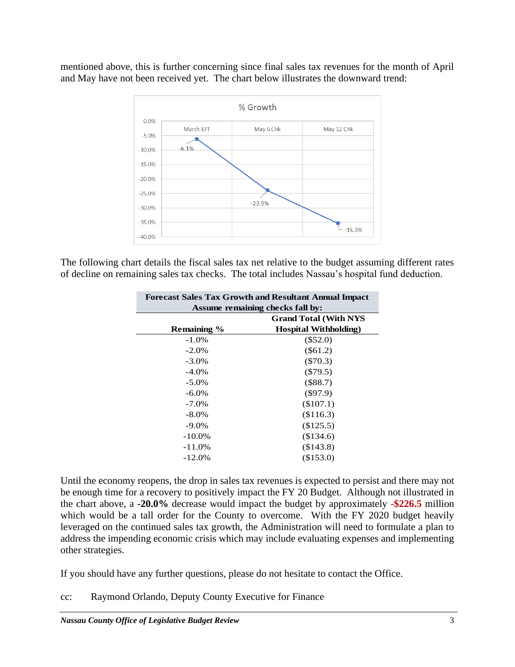mentioned above, this is further concerning since final sales tax revenues for the month of April and May have not been received yet. The chart below illustrates the downward trend:



The following chart details the fiscal sales tax net relative to the budget assuming different rates of decline on remaining sales tax checks. The total includes Nassau's hospital fund deduction.

| <b>Forecast Sales Tax Growth and Resultant Annual Impact</b> |                               |
|--------------------------------------------------------------|-------------------------------|
| Assume remaining checks fall by:                             |                               |
|                                                              | <b>Grand Total (With NYS)</b> |
| Remaining %                                                  | <b>Hospital Withholding</b> ) |
| $-1.0\%$                                                     | $(\$52.0)$                    |
| $-2.0\%$                                                     | $(\$61.2)$                    |
| $-3.0\%$                                                     | $(\$70.3)$                    |
| $-4.0\%$                                                     | $(\$79.5)$                    |
| $-5.0\%$                                                     | (\$88.7)                      |
| $-6.0\%$                                                     | $(\$97.9)$                    |
| $-7.0\%$                                                     | $(\$107.1)$                   |
| $-8.0\%$                                                     | (\$116.3)                     |
| $-9.0\%$                                                     | (\$125.5)                     |
| $-10.0\%$                                                    | (\$134.6)                     |
| $-11.0%$                                                     | (\$143.8)                     |
| -12.0%                                                       | (\$153.0)                     |

Until the economy reopens, the drop in sales tax revenues is expected to persist and there may not be enough time for a recovery to positively impact the FY 20 Budget. Although not illustrated in the chart above, a **-20.0%** decrease would impact the budget by approximately **-\$226.5** million which would be a tall order for the County to overcome. With the FY 2020 budget heavily leveraged on the continued sales tax growth, the Administration will need to formulate a plan to address the impending economic crisis which may include evaluating expenses and implementing other strategies.

If you should have any further questions, please do not hesitate to contact the Office.

cc: Raymond Orlando, Deputy County Executive for Finance